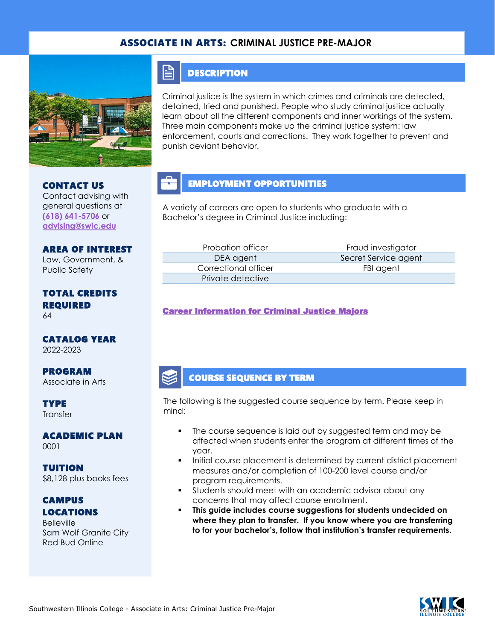## ASSOCIATE IN ARTS: **CRIMINAL JUSTICE PRE-MAJOR**



## **DESCRIPTION**

FI

Criminal justice is the system in which crimes and criminals are detected, detained, tried and punished. People who study criminal justice actually learn about all the different components and inner workings of the system. Three main components make up the criminal justice system: law enforcement, courts and corrections. They work together to prevent and punish deviant behavior.

# EMPLOYMENT OPPORTUNITIES

A variety of careers are open to students who graduate with a Bachelor's degree in Criminal Justice including:

AREA OF INTEREST Law, Government, & Public Safety

Contact advising with general questions at **[\(618\) 641-5706](tel:%20(618)%20641-5706)** or **[advising@swic.edu](mailto:advising@swic.edu)**

CONTACT US

#### TOTAL CREDITS REQUIRED 64

CATALOG YEAR 2022-2023

PROGRAM Associate in Arts

**TYPE Transfer** 

ACADEMIC PLAN 0001

TUITION \$8,128 plus books fees

**CAMPUS** LOCATIONS

**Belleville** Sam Wolf Granite City Red Bud Online

Correctional officer FBI agent Private detective

Probation officer **Fraud investigator** Fraud investigator DEA agent Secret Service agent

#### [Career Information for Criminal Justice Majors](https://www.onetonline.org/find/quick?s=criminal+justice)

## COURSE SEQUENCE BY TERM

The following is the suggested course sequence by term. Please keep in mind:

- The course sequence is laid out by suggested term and may be affected when students enter the program at different times of the year.
- Initial course placement is determined by current district placement measures and/or completion of 100-200 level course and/or program requirements.
- Students should meet with an academic advisor about any concerns that may affect course enrollment.
- **This guide includes course suggestions for students undecided on where they plan to transfer. If you know where you are transferring to for your bachelor's, follow that institution's transfer requirements.**